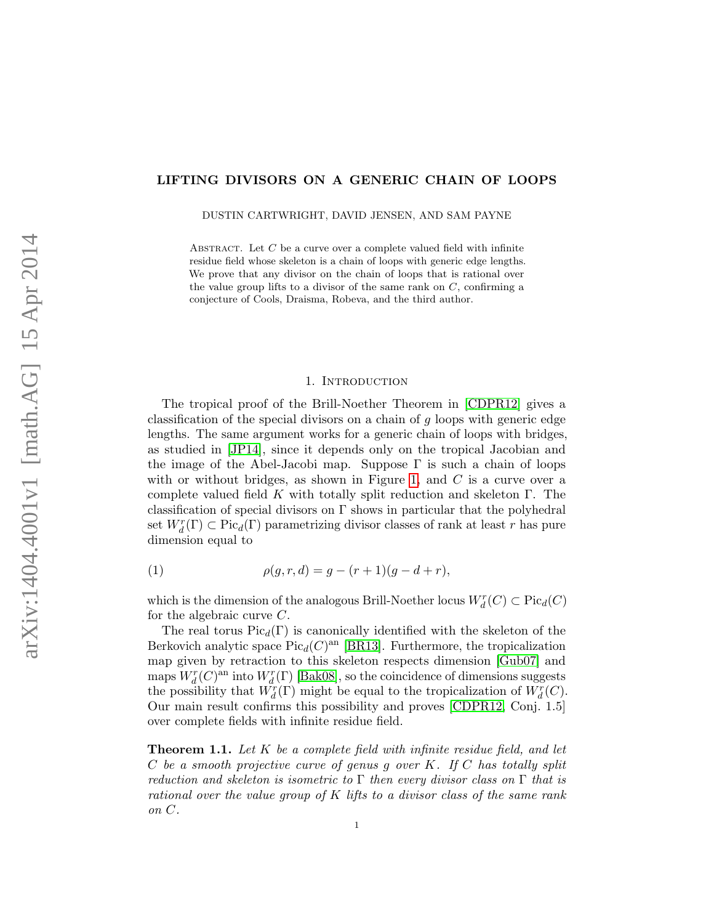# LIFTING DIVISORS ON A GENERIC CHAIN OF LOOPS

DUSTIN CARTWRIGHT, DAVID JENSEN, AND SAM PAYNE

ABSTRACT. Let  $C$  be a curve over a complete valued field with infinite residue field whose skeleton is a chain of loops with generic edge lengths. We prove that any divisor on the chain of loops that is rational over the value group lifts to a divisor of the same rank on  $C$ , confirming a conjecture of Cools, Draisma, Robeva, and the third author.

### 1. Introduction

The tropical proof of the Brill-Noether Theorem in [\[CDPR12\]](#page-13-0) gives a classification of the special divisors on a chain of g loops with generic edge lengths. The same argument works for a generic chain of loops with bridges, as studied in [\[JP14\]](#page-13-1), since it depends only on the tropical Jacobian and the image of the Abel-Jacobi map. Suppose  $\Gamma$  is such a chain of loops with or without bridges, as shown in Figure [1,](#page-1-0) and  $C$  is a curve over a complete valued field K with totally split reduction and skeleton  $\Gamma$ . The classification of special divisors on  $\Gamma$  shows in particular that the polyhedral set  $W_d^r(\Gamma) \subset \text{Pic}_d(\Gamma)$  parametrizing divisor classes of rank at least r has pure dimension equal to

<span id="page-0-1"></span>(1) 
$$
\rho(g, r, d) = g - (r + 1)(g - d + r),
$$

which is the dimension of the analogous Brill-Noether locus  $W^r_d(C) \subset \text{Pic}_d(C)$ for the algebraic curve  $C$ .

The real torus  $Pic_d(\Gamma)$  is canonically identified with the skeleton of the Berkovich analytic space  $Pic_d(C)^{an}$  [\[BR13\]](#page-12-0). Furthermore, the tropicalization map given by retraction to this skeleton respects dimension [\[Gub07\]](#page-13-2) and maps  $W_d^r(C)$ <sup>an</sup> into  $W_d^r(\Gamma)$  [\[Bak08\]](#page-12-1), so the coincidence of dimensions suggests the possibility that  $\tilde{W_d^r}(\Gamma)$  might be equal to the tropicalization of  $W_d^r(C)$ . Our main result confirms this possibility and proves [\[CDPR12,](#page-13-0) Conj. 1.5] over complete fields with infinite residue field.

<span id="page-0-0"></span>**Theorem 1.1.** Let  $K$  be a complete field with infinite residue field, and let  $C$  be a smooth projective curve of genus g over  $K$ . If  $C$  has totally split reduction and skeleton is isometric to  $\Gamma$  then every divisor class on  $\Gamma$  that is rational over the value group of K lifts to a divisor class of the same rank on C.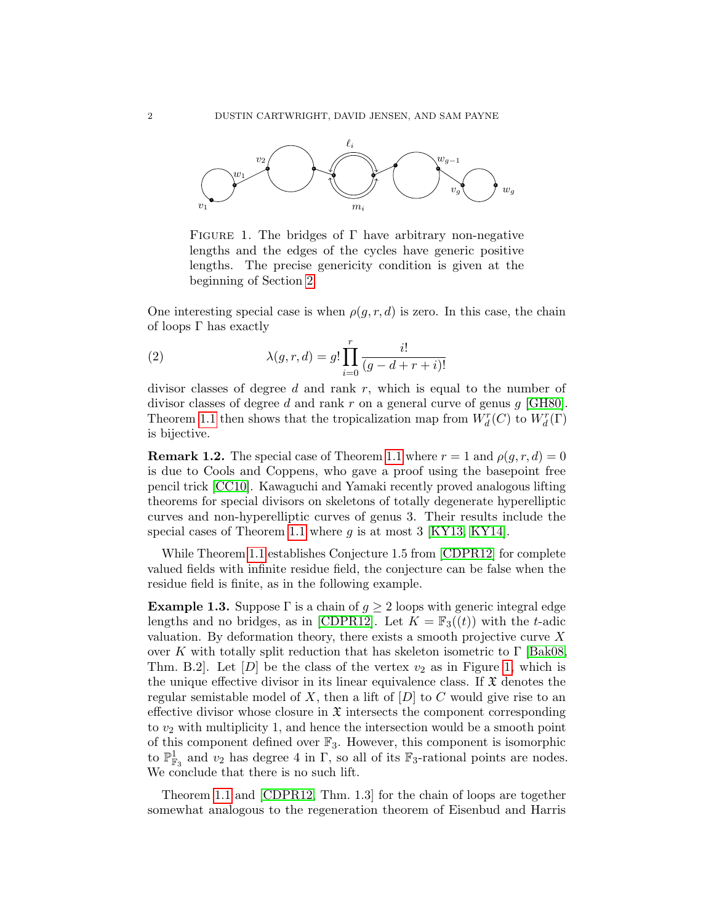

<span id="page-1-0"></span>FIGURE 1. The bridges of  $\Gamma$  have arbitrary non-negative lengths and the edges of the cycles have generic positive lengths. The precise genericity condition is given at the beginning of Section [2.](#page-4-0)

One interesting special case is when  $\rho(g, r, d)$  is zero. In this case, the chain of loops Γ has exactly

<span id="page-1-1"></span>(2) 
$$
\lambda(g, r, d) = g! \prod_{i=0}^{r} \frac{i!}{(g - d + r + i)!}
$$

divisor classes of degree  $d$  and rank  $r$ , which is equal to the number of divisor classes of degree d and rank  $r$  on a general curve of genus  $g$  [\[GH80\]](#page-13-3). Theorem [1.1](#page-0-0) then shows that the tropicalization map from  $W_d^r(C)$  to  $W_d^r(\Gamma)$ is bijective.

**Remark 1.2.** The special case of Theorem [1.1](#page-0-0) where  $r = 1$  and  $\rho(q, r, d) = 0$ is due to Cools and Coppens, who gave a proof using the basepoint free pencil trick [\[CC10\]](#page-12-2). Kawaguchi and Yamaki recently proved analogous lifting theorems for special divisors on skeletons of totally degenerate hyperelliptic curves and non-hyperelliptic curves of genus 3. Their results include the special cases of Theorem [1.1](#page-0-0) where  $q$  is at most 3 [\[KY13,](#page-13-4) [KY14\]](#page-13-5).

While Theorem [1.1](#page-0-0) establishes Conjecture 1.5 from [\[CDPR12\]](#page-13-0) for complete valued fields with infinite residue field, the conjecture can be false when the residue field is finite, as in the following example.

**Example 1.3.** Suppose  $\Gamma$  is a chain of  $g \geq 2$  loops with generic integral edge lengths and no bridges, as in [\[CDPR12\]](#page-13-0). Let  $K = \mathbb{F}_3((t))$  with the t-adic valuation. By deformation theory, there exists a smooth projective curve  $X$ over K with totally split reduction that has skeleton isometric to  $\Gamma$  [\[Bak08,](#page-12-1) Thm. B.2. Let  $[D]$  be the class of the vertex  $v_2$  as in Figure [1,](#page-1-0) which is the unique effective divisor in its linear equivalence class. If  $\mathfrak X$  denotes the regular semistable model of X, then a lift of  $[D]$  to C would give rise to an effective divisor whose closure in  $\mathfrak X$  intersects the component corresponding to  $v_2$  with multiplicity 1, and hence the intersection would be a smooth point of this component defined over  $\mathbb{F}_3$ . However, this component is isomorphic to  $\mathbb{P}^1_{\mathbb{F}_3}$  and  $v_2$  has degree 4 in  $\Gamma$ , so all of its  $\mathbb{F}_3$ -rational points are nodes. We conclude that there is no such lift.

Theorem [1.1](#page-0-0) and [\[CDPR12,](#page-13-0) Thm. 1.3] for the chain of loops are together somewhat analogous to the regeneration theorem of Eisenbud and Harris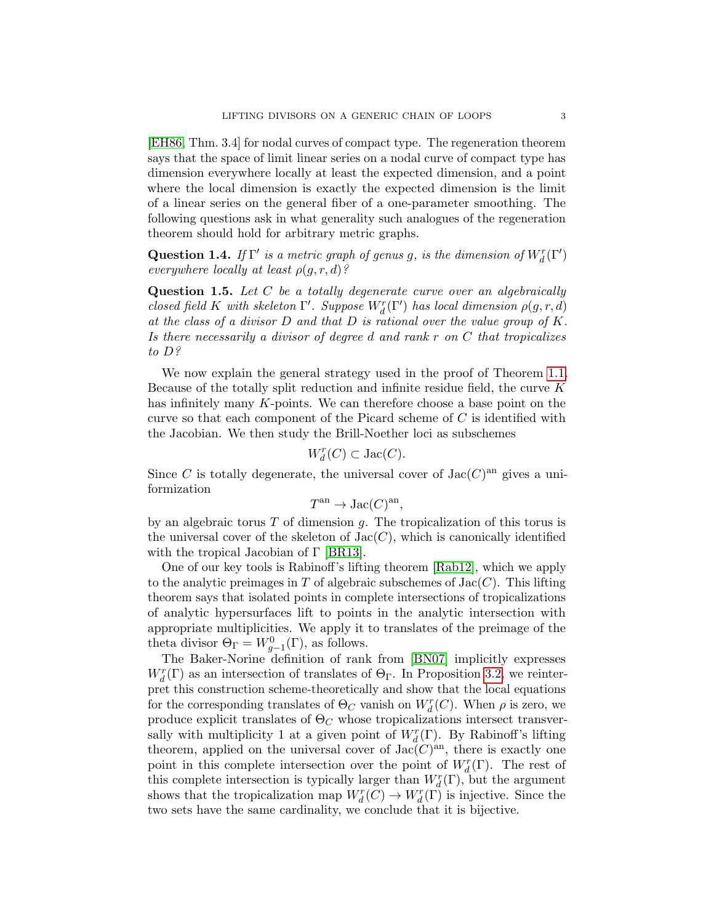[\[EH86,](#page-13-6) Thm. 3.4] for nodal curves of compact type. The regeneration theorem says that the space of limit linear series on a nodal curve of compact type has dimension everywhere locally at least the expected dimension, and a point where the local dimension is exactly the expected dimension is the limit of a linear series on the general fiber of a one-parameter smoothing. The following questions ask in what generality such analogues of the regeneration theorem should hold for arbitrary metric graphs.

**Question 1.4.** If  $\Gamma'$  is a metric graph of genus g, is the dimension of  $W_d^r(\Gamma')$ everywhere locally at least  $\rho(g, r, d)$ ?

**Question 1.5.** Let  $C$  be a totally degenerate curve over an algebraically closed field K with skeleton  $\Gamma'.$  Suppose  $W^r_d(\Gamma')$  has local dimension  $\rho(g,r,d)$ at the class of a divisor  $D$  and that  $D$  is rational over the value group of  $K$ . Is there necessarily a divisor of degree d and rank r on C that tropicalizes to D?

We now explain the general strategy used in the proof of Theorem [1.1.](#page-0-0) Because of the totally split reduction and infinite residue field, the curve  $K$ has infinitely many K-points. We can therefore choose a base point on the curve so that each component of the Picard scheme of C is identified with the Jacobian. We then study the Brill-Noether loci as subschemes

$$
W_d^r(C) \subset \operatorname{Jac}(C).
$$

Since C is totally degenerate, the universal cover of  $Jac(C)^{an}$  gives a uniformization

$$
T^{\text{an}} \to \text{Jac}(C)^{\text{an}},
$$

by an algebraic torus  $T$  of dimension  $q$ . The tropicalization of this torus is the universal cover of the skeleton of  $Jac(C)$ , which is canonically identified with the tropical Jacobian of  $\Gamma$  [\[BR13\]](#page-12-0).

One of our key tools is Rabinoff's lifting theorem [\[Rab12\]](#page-13-7), which we apply to the analytic preimages in T of algebraic subschemes of  $Jac(C)$ . This lifting theorem says that isolated points in complete intersections of tropicalizations of analytic hypersurfaces lift to points in the analytic intersection with appropriate multiplicities. We apply it to translates of the preimage of the theta divisor  $\Theta_{\Gamma} = W_{g-1}^{0}(\Gamma)$ , as follows.

The Baker-Norine definition of rank from [\[BN07\]](#page-12-3) implicitly expresses  $W_d^r(\Gamma)$  as an intersection of translates of  $\Theta_{\Gamma}$ . In Proposition [3.2,](#page-10-0) we reinterpret this construction scheme-theoretically and show that the local equations for the corresponding translates of  $\Theta_C$  vanish on  $W^r_d(C)$ . When  $\rho$  is zero, we produce explicit translates of  $\Theta_C$  whose tropicalizations intersect transversally with multiplicity 1 at a given point of  $W_d^r(\Gamma)$ . By Rabinoff's lifting theorem, applied on the universal cover of  $Jac(C)^{an}$ , there is exactly one point in this complete intersection over the point of  $W_d^r(\Gamma)$ . The rest of this complete intersection is typically larger than  $W_d^r(\Gamma)$ , but the argument shows that the tropicalization map  $W_d^r(C) \to W_d^r(\Gamma)$  is injective. Since the two sets have the same cardinality, we conclude that it is bijective.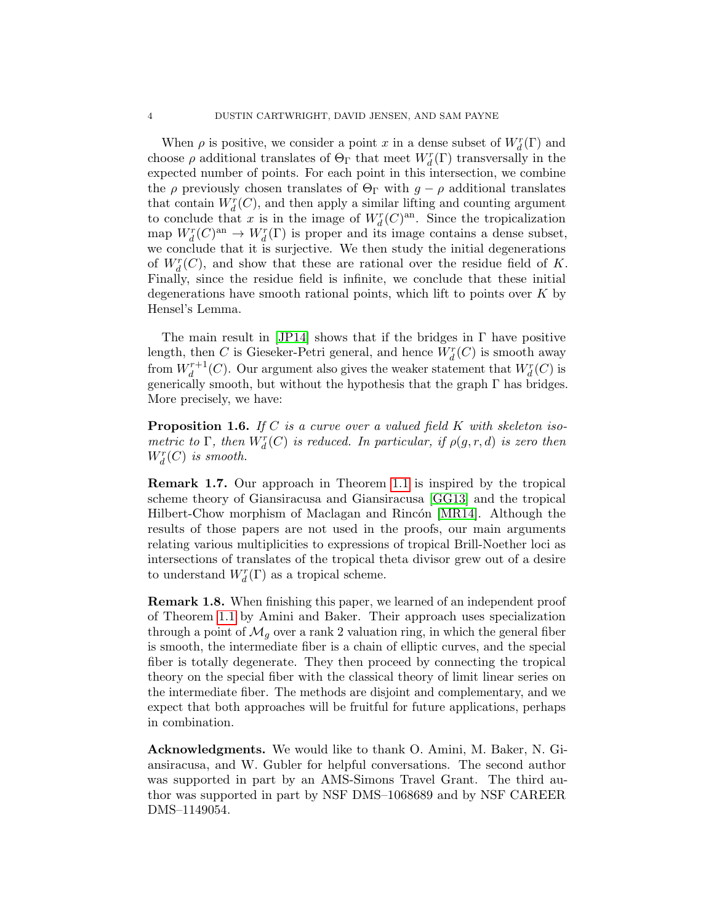When  $\rho$  is positive, we consider a point x in a dense subset of  $W_d^r(\Gamma)$  and choose  $\rho$  additional translates of  $\Theta_{\Gamma}$  that meet  $W_d^r(\Gamma)$  transversally in the expected number of points. For each point in this intersection, we combine the  $\rho$  previously chosen translates of  $\Theta_{\Gamma}$  with  $g - \rho$  additional translates that contain  $W_d^r(C)$ , and then apply a similar lifting and counting argument to conclude that x is in the image of  $W_d^r(C)^{\text{an}}$ . Since the tropicalization map  $W_d^r(C)^{an} \to W_d^r(\Gamma)$  is proper and its image contains a dense subset, we conclude that it is surjective. We then study the initial degenerations of  $W_d^r(C)$ , and show that these are rational over the residue field of K. Finally, since the residue field is infinite, we conclude that these initial degenerations have smooth rational points, which lift to points over  $K$  by Hensel's Lemma.

The main result in [\[JP14\]](#page-13-1) shows that if the bridges in  $\Gamma$  have positive length, then C is Gieseker-Petri general, and hence  $W_d^r(C)$  is smooth away from  $W_d^{r+1}(C)$ . Our argument also gives the weaker statement that  $W_d^r(C)$  is generically smooth, but without the hypothesis that the graph  $\Gamma$  has bridges. More precisely, we have:

<span id="page-3-0"></span>**Proposition 1.6.** If C is a curve over a valued field K with skeleton isometric to  $\Gamma$ , then  $W_d^r(C)$  is reduced. In particular, if  $\rho(g, r, d)$  is zero then  $W_d^r(C)$  is smooth.

Remark 1.7. Our approach in Theorem [1.1](#page-0-0) is inspired by the tropical scheme theory of Giansiracusa and Giansiracusa [\[GG13\]](#page-13-8) and the tropical Hilbert-Chow morphism of Maclagan and Rincón [\[MR14\]](#page-13-9). Although the results of those papers are not used in the proofs, our main arguments relating various multiplicities to expressions of tropical Brill-Noether loci as intersections of translates of the tropical theta divisor grew out of a desire to understand  $W^r_d(\Gamma)$  as a tropical scheme.

Remark 1.8. When finishing this paper, we learned of an independent proof of Theorem [1.1](#page-0-0) by Amini and Baker. Their approach uses specialization through a point of  $\mathcal{M}_q$  over a rank 2 valuation ring, in which the general fiber is smooth, the intermediate fiber is a chain of elliptic curves, and the special fiber is totally degenerate. They then proceed by connecting the tropical theory on the special fiber with the classical theory of limit linear series on the intermediate fiber. The methods are disjoint and complementary, and we expect that both approaches will be fruitful for future applications, perhaps in combination.

Acknowledgments. We would like to thank O. Amini, M. Baker, N. Giansiracusa, and W. Gubler for helpful conversations. The second author was supported in part by an AMS-Simons Travel Grant. The third author was supported in part by NSF DMS–1068689 and by NSF CAREER DMS–1149054.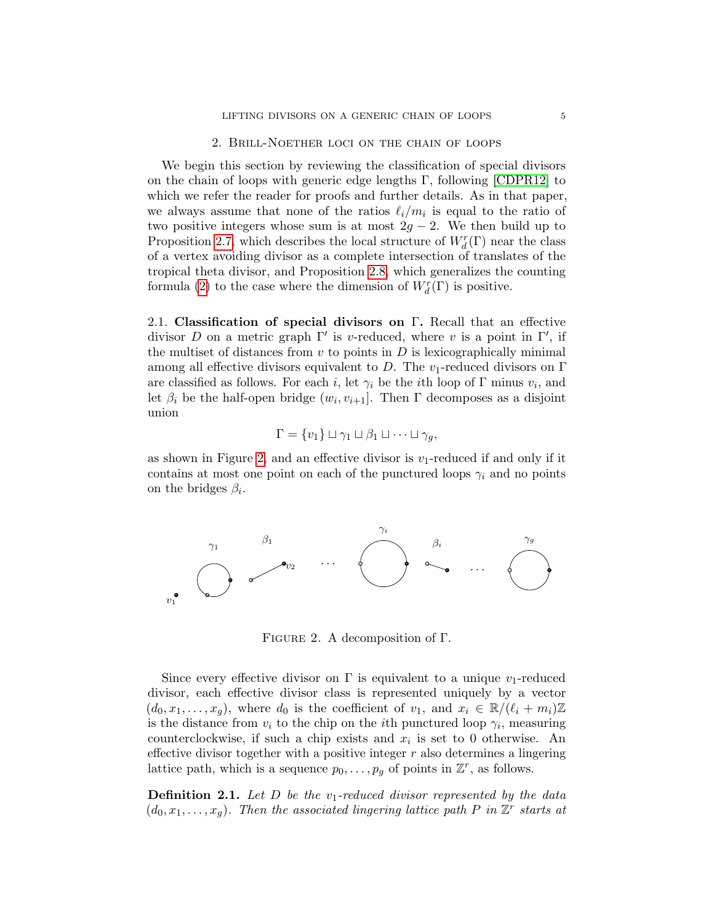# 2. Brill-Noether loci on the chain of loops

<span id="page-4-0"></span>We begin this section by reviewing the classification of special divisors on the chain of loops with generic edge lengths  $\Gamma$ , following [\[CDPR12\]](#page-13-0) to which we refer the reader for proofs and further details. As in that paper, we always assume that none of the ratios  $\ell_i/m_i$  is equal to the ratio of two positive integers whose sum is at most  $2g - 2$ . We then build up to Proposition [2.7,](#page-7-0) which describes the local structure of  $W_d^r(\Gamma)$  near the class of a vertex avoiding divisor as a complete intersection of translates of the tropical theta divisor, and Proposition [2.8,](#page-8-0) which generalizes the counting formula [\(2\)](#page-1-1) to the case where the dimension of  $W^r_d(\Gamma)$  is positive.

<span id="page-4-2"></span>2.1. Classification of special divisors on  $\Gamma$ . Recall that an effective divisor D on a metric graph  $\Gamma'$  is v-reduced, where v is a point in  $\Gamma'$ , if the multiset of distances from  $v$  to points in  $D$  is lexicographically minimal among all effective divisors equivalent to D. The v<sub>1</sub>-reduced divisors on  $\Gamma$ are classified as follows. For each *i*, let  $\gamma_i$  be the *i*th loop of Γ minus  $v_i$ , and let  $\beta_i$  be the half-open bridge  $(w_i, v_{i+1}]$ . Then  $\Gamma$  decomposes as a disjoint union

$$
\Gamma = \{v_1\} \sqcup \gamma_1 \sqcup \beta_1 \sqcup \cdots \sqcup \gamma_g,
$$

as shown in Figure [2,](#page-4-1) and an effective divisor is  $v_1$ -reduced if and only if it contains at most one point on each of the punctured loops  $\gamma_i$  and no points on the bridges  $\beta_i$ .



<span id="page-4-1"></span>Figure 2. A decomposition of Γ.

Since every effective divisor on  $\Gamma$  is equivalent to a unique  $v_1$ -reduced divisor, each effective divisor class is represented uniquely by a vector  $(d_0, x_1, \ldots, x_g)$ , where  $d_0$  is the coefficient of  $v_1$ , and  $x_i \in \mathbb{R}/(\ell_i + m_i)\mathbb{Z}$ is the distance from  $v_i$  to the chip on the *i*<sup>th</sup> punctured loop  $\gamma_i$ , measuring counterclockwise, if such a chip exists and  $x_i$  is set to 0 otherwise. An effective divisor together with a positive integer  $r$  also determines a lingering lattice path, which is a sequence  $p_0, \ldots, p_g$  of points in  $\mathbb{Z}^r$ , as follows.

**Definition 2.1.** Let  $D$  be the  $v_1$ -reduced divisor represented by the data  $(d_0, x_1, \ldots, x_g)$ . Then the associated lingering lattice path P in  $\mathbb{Z}^r$  starts at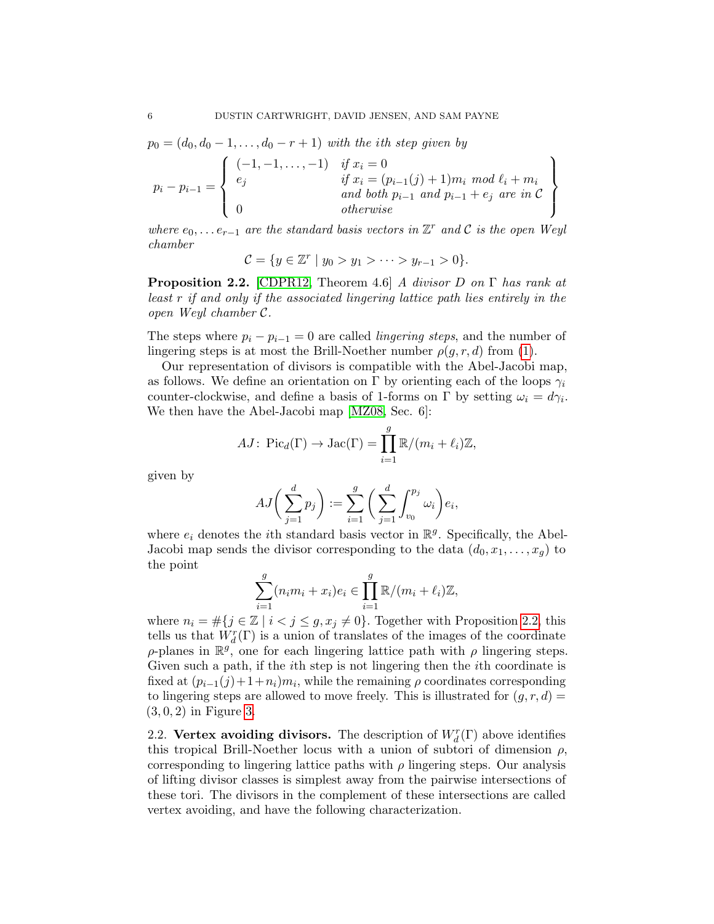$p_0 = (d_0, d_0 - 1, \ldots, d_0 - r + 1)$  with the ith step given by

$$
p_i - p_{i-1} = \left\{ \begin{array}{ll} (-1, -1, \dots, -1) & \text{if } x_i = 0\\ e_j & \text{if } x_i = (p_{i-1}(j) + 1) m_i \text{ mod } \ell_i + m_i\\ \text{and both } p_{i-1} \text{ and } p_{i-1} + e_j \text{ are in } C\\ 0 & \text{otherwise} \end{array} \right\}
$$

where  $e_0, \ldots e_{r-1}$  are the standard basis vectors in  $\mathbb{Z}^r$  and  $\mathcal C$  is the open Weyl chamber

$$
C = \{ y \in \mathbb{Z}^r \mid y_0 > y_1 > \cdots > y_{r-1} > 0 \}.
$$

<span id="page-5-0"></span>**Proposition 2.2.** [\[CDPR12,](#page-13-0) Theorem 4.6] A divisor D on  $\Gamma$  has rank at least r if and only if the associated lingering lattice path lies entirely in the open Weyl chamber C.

The steps where  $p_i - p_{i-1} = 0$  are called *lingering steps*, and the number of lingering steps is at most the Brill-Noether number  $\rho(g, r, d)$  from [\(1\)](#page-0-1).

Our representation of divisors is compatible with the Abel-Jacobi map, as follows. We define an orientation on Γ by orienting each of the loops  $\gamma_i$ counter-clockwise, and define a basis of 1-forms on  $\Gamma$  by setting  $\omega_i = d\gamma_i$ . We then have the Abel-Jacobi map [\[MZ08,](#page-13-10) Sec. 6]:

$$
AJ: Pic_d(\Gamma) \to Jac(\Gamma) = \prod_{i=1}^g \mathbb{R}/(m_i + \ell_i)\mathbb{Z},
$$

given by

$$
AJ\bigg(\sum_{j=1}^d p_j\bigg) := \sum_{i=1}^g \bigg(\sum_{j=1}^d \int_{v_0}^{p_j} \omega_i\bigg) e_i,
$$

where  $e_i$  denotes the *i*th standard basis vector in  $\mathbb{R}^g$ . Specifically, the Abel-Jacobi map sends the divisor corresponding to the data  $(d_0, x_1, \ldots, x_q)$  to the point

$$
\sum_{i=1}^{g} (n_i m_i + x_i) e_i \in \prod_{i=1}^{g} \mathbb{R} / (m_i + \ell_i) \mathbb{Z},
$$

where  $n_i = #\{j \in \mathbb{Z} \mid i < j \le g, x_j \neq 0\}$ . Together with Proposition [2.2,](#page-5-0) this tells us that  $W_d^r(\Gamma)$  is a union of translates of the images of the coordinate  $\rho$ -planes in  $\mathbb{R}^g$ , one for each lingering lattice path with  $\rho$  lingering steps. Given such a path, if the *i*th step is not lingering then the *i*th coordinate is fixed at  $(p_{i-1}(j)+1+n_i)m_i$ , while the remaining  $\rho$  coordinates corresponding to lingering steps are allowed to move freely. This is illustrated for  $(q, r, d)$  =  $(3, 0, 2)$  in Figure [3.](#page-6-0)

2.2. Vertex avoiding divisors. The description of  $W_d^r(\Gamma)$  above identifies this tropical Brill-Noether locus with a union of subtori of dimension  $\rho$ , corresponding to lingering lattice paths with  $\rho$  lingering steps. Our analysis of lifting divisor classes is simplest away from the pairwise intersections of these tori. The divisors in the complement of these intersections are called vertex avoiding, and have the following characterization.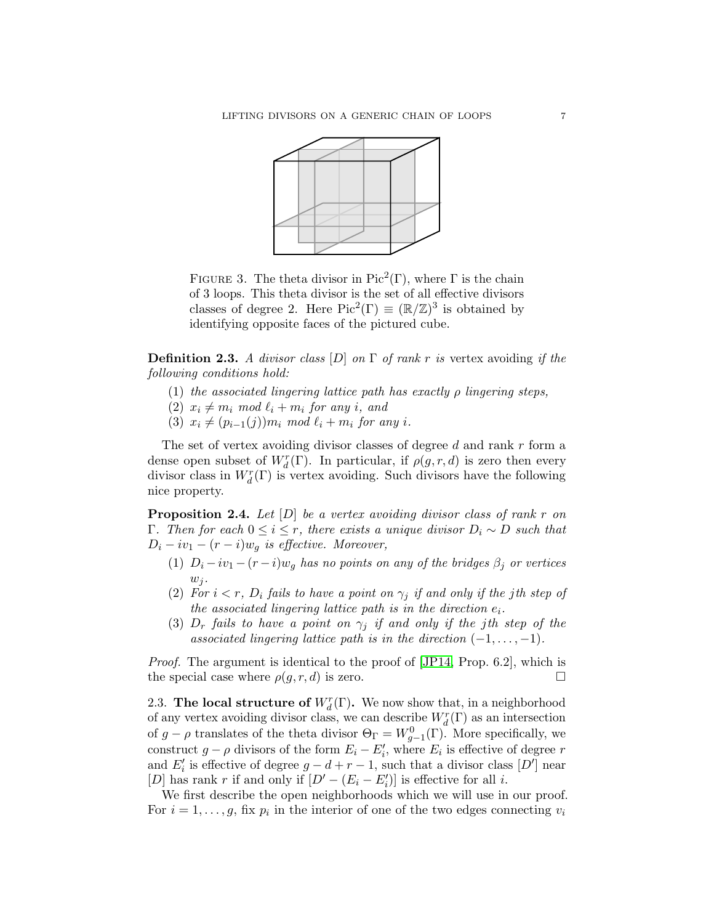

<span id="page-6-0"></span>FIGURE 3. The theta divisor in Pic<sup>2</sup>(Γ), where  $\Gamma$  is the chain of 3 loops. This theta divisor is the set of all effective divisors classes of degree 2. Here  $Pic^2(\Gamma) \equiv (\mathbb{R}/\mathbb{Z})^3$  is obtained by identifying opposite faces of the pictured cube.

**Definition 2.3.** A divisor class  $[D]$  on  $\Gamma$  of rank r is vertex avoiding if the following conditions hold:

- (1) the associated lingering lattice path has exactly  $\rho$  lingering steps,
- (2)  $x_i \neq m_i \mod \ell_i + m_i$  for any i, and
- (3)  $x_i \neq (p_{i-1}(j))m_i \mod \ell_i + m_i \text{ for any } i.$

The set of vertex avoiding divisor classes of degree d and rank r form a dense open subset of  $W_d^r(\Gamma)$ . In particular, if  $\rho(g, r, d)$  is zero then every divisor class in  $W_d^r(\Gamma)$  is vertex avoiding. Such divisors have the following nice property.

<span id="page-6-1"></span>**Proposition 2.4.** Let  $[D]$  be a vertex avoiding divisor class of rank r on Γ. Then for each  $0 ≤ i ≤ r$ , there exists a unique divisor  $D_i ∼ D$  such that  $D_i - iv_1 - (r - i)w_q$  is effective. Moreover,

- (1)  $D_i iv_1 (r i)w_g$  has no points on any of the bridges  $\beta_j$  or vertices  $w_j$ .
- (2) For  $i < r$ ,  $D_i$  fails to have a point on  $\gamma_i$  if and only if the jth step of the associated lingering lattice path is in the direction  $e_i$ .
- (3)  $D_r$  fails to have a point on  $\gamma_i$  if and only if the jth step of the associated lingering lattice path is in the direction  $(-1, \ldots, -1)$ .

Proof. The argument is identical to the proof of [\[JP14,](#page-13-1) Prop. 6.2], which is the special case where  $\rho(g, r, d)$  is zero.

2.3. The local structure of  $W_d^r(\Gamma)$ . We now show that, in a neighborhood of any vertex avoiding divisor class, we can describe  $W_d^r(\Gamma)$  as an intersection of  $g - \rho$  translates of the theta divisor  $\Theta_{\Gamma} = W_{g-1}^{0}(\Gamma)$ . More specifically, we construct  $g - \rho$  divisors of the form  $E_i - E'_i$ , where  $E_i$  is effective of degree r and  $E'_i$  is effective of degree  $g - d + r - 1$ , such that a divisor class  $[D']$  near [D] has rank r if and only if  $[D' - (E_i - E'_i)]$  is effective for all *i*.

We first describe the open neighborhoods which we will use in our proof. For  $i = 1, \ldots, g$ , fix  $p_i$  in the interior of one of the two edges connecting  $v_i$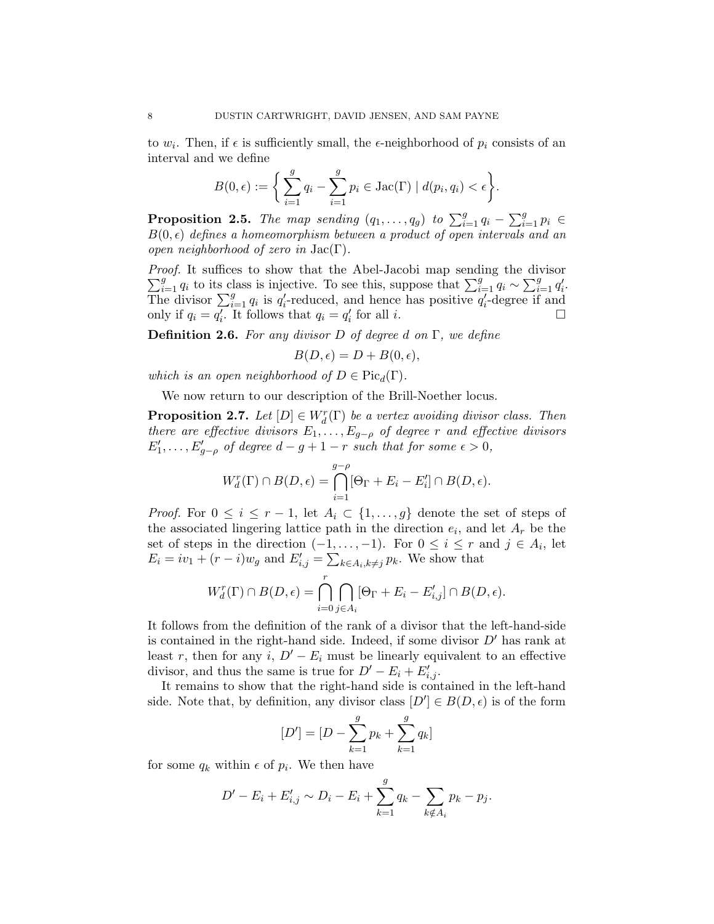to  $w_i$ . Then, if  $\epsilon$  is sufficiently small, the  $\epsilon$ -neighborhood of  $p_i$  consists of an interval and we define

$$
B(0, \epsilon) := \bigg\{ \sum_{i=1}^{g} q_i - \sum_{i=1}^{g} p_i \in \text{Jac}(\Gamma) \mid d(p_i, q_i) < \epsilon \bigg\}.
$$

**Proposition 2.5.** The map sending  $(q_1, \ldots, q_g)$  to  $\sum_{i=1}^g q_i - \sum_{i=1}^g p_i \in$  $B(0, \epsilon)$  defines a homeomorphism between a product of open intervals and an open neighborhood of zero in  $Jac(\Gamma)$ .

 $\sum_{i=1}^{g} q_i$  to its class is injective. To see this, suppose that  $\sum_{i=1}^{g} q_i \sim \sum_{i=1}^{g} q'_i$ . Proof. It suffices to show that the Abel-Jacobi map sending the divisor The divisor  $\sum_{i=1}^{g} q_i$  is  $q'_i$ -reduced, and hence has positive  $q'_i$ -degree if and only if  $q_i = \overline{q'_i}$ . It follows that  $q_i = q'_i$ for all i.  $\Box$ 

**Definition 2.6.** For any divisor D of degree d on  $\Gamma$ , we define

$$
B(D, \epsilon) = D + B(0, \epsilon),
$$

which is an open neighborhood of  $D \in Pic_d(\Gamma)$ .

We now return to our description of the Brill-Noether locus.

<span id="page-7-0"></span>**Proposition 2.7.** Let  $[D] \in W_d^r(\Gamma)$  be a vertex avoiding divisor class. Then there are effective divisors  $E_1, \ldots, E_{g-\rho}$  of degree r and effective divisors  $E'_1, \ldots, E'_{g-\rho}$  of degree  $d-g+1-r$  such that for some  $\epsilon > 0$ ,

$$
W_d^r(\Gamma) \cap B(D, \epsilon) = \bigcap_{i=1}^{g-\rho} [\Theta_{\Gamma} + E_i - E'_i] \cap B(D, \epsilon).
$$

*Proof.* For  $0 \leq i \leq r-1$ , let  $A_i \subset \{1,\ldots,g\}$  denote the set of steps of the associated lingering lattice path in the direction  $e_i$ , and let  $A_r$  be the set of steps in the direction  $(-1, \ldots, -1)$ . For  $0 \leq i \leq r$  and  $j \in A_i$ , let  $E_i = iv_1 + (r - i)w_g$  and  $E'_{i,j} = \sum_{k \in A_i, k \neq j} p_k$ . We show that

$$
W_d^r(\Gamma) \cap B(D, \epsilon) = \bigcap_{i=0}^r \bigcap_{j \in A_i} [\Theta_{\Gamma} + E_i - E'_{i,j}] \cap B(D, \epsilon).
$$

It follows from the definition of the rank of a divisor that the left-hand-side is contained in the right-hand side. Indeed, if some divisor  $D'$  has rank at least r, then for any i,  $D' - E_i$  must be linearly equivalent to an effective divisor, and thus the same is true for  $D' - E_i + E'_{i,j}$ .

It remains to show that the right-hand side is contained in the left-hand side. Note that, by definition, any divisor class  $[D'] \in B(D, \epsilon)$  is of the form

$$
[D'] = [D - \sum_{k=1}^{g} p_k + \sum_{k=1}^{g} q_k]
$$

for some  $q_k$  within  $\epsilon$  of  $p_i$ . We then have

$$
D' - E_i + E'_{i,j} \sim D_i - E_i + \sum_{k=1}^{g} q_k - \sum_{k \notin A_i} p_k - p_j.
$$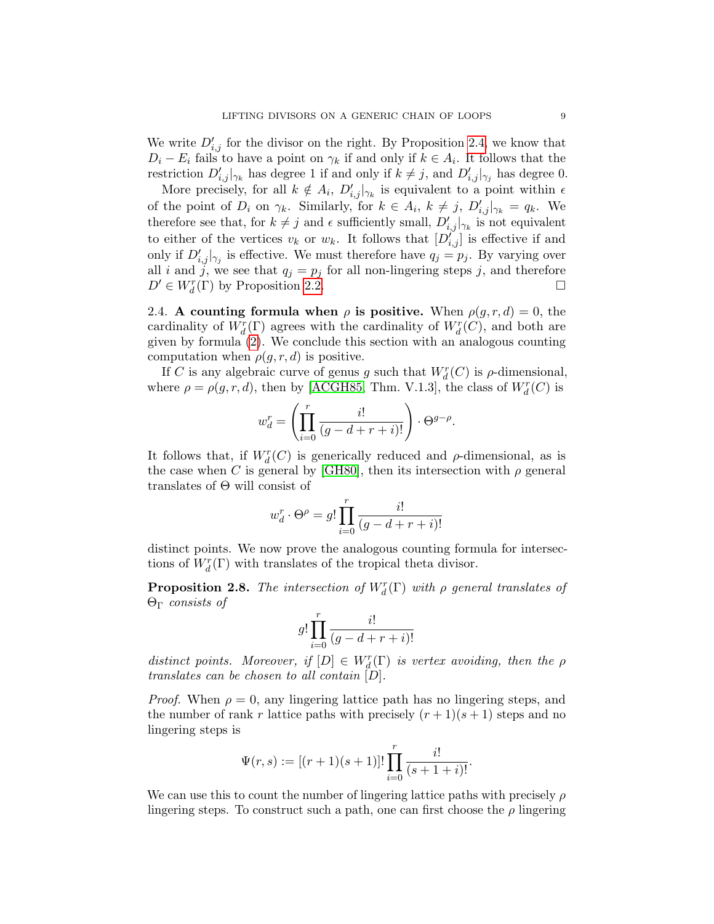We write  $D'_{i,j}$  for the divisor on the right. By Proposition [2.4,](#page-6-1) we know that  $D_i - E_i$  fails to have a point on  $\gamma_k$  if and only if  $k \in A_i$ . It follows that the restriction  $D'_{i,j}|_{\gamma_k}$  has degree 1 if and only if  $k \neq j$ , and  $D'_{i,j}|_{\gamma_j}$  has degree 0.

More precisely, for all  $k \notin A_i$ ,  $D'_{i,j}|_{\gamma_k}$  is equivalent to a point within  $\epsilon$ of the point of  $D_i$  on  $\gamma_k$ . Similarly, for  $k \in A_i$ ,  $k \neq j$ ,  $D'_{i,j}|_{\gamma_k} = q_k$ . We therefore see that, for  $k \neq j$  and  $\epsilon$  sufficiently small,  $D'_{i,j}|_{\gamma_k}$  is not equivalent to either of the vertices  $v_k$  or  $w_k$ . It follows that  $[D_{i,j}^{i'}]$  is effective if and only if  $D'_{i,j}|_{\gamma_j}$  is effective. We must therefore have  $q_j = p_j$ . By varying over all i and j, we see that  $q_j = p_j$  for all non-lingering steps j, and therefore  $D' \in W_d^r(\Gamma)$  by Proposition [2.2.](#page-5-0)

2.4. A counting formula when  $\rho$  is positive. When  $\rho(g, r, d) = 0$ , the cardinality of  $W_d^r(\Gamma)$  agrees with the cardinality of  $W_d^r(C)$ , and both are given by formula [\(2\)](#page-1-1). We conclude this section with an analogous counting computation when  $\rho(g, r, d)$  is positive.

If C is any algebraic curve of genus g such that  $W_d^r(C)$  is  $\rho$ -dimensional, where  $\rho = \rho(g, r, d)$ , then by [\[ACGH85,](#page-12-4) Thm. V.1.3], the class of  $W_d^r(C)$  is

$$
w_d^r = \left(\prod_{i=0}^r \frac{i!}{(g-d+r+i)!}\right) \cdot \Theta^{g-\rho}.
$$

It follows that, if  $W_d^r(C)$  is generically reduced and  $\rho$ -dimensional, as is the case when C is general by [\[GH80\]](#page-13-3), then its intersection with  $\rho$  general translates of Θ will consist of

$$
w_d^r\cdot\Theta^\rho=g!\prod_{i=0}^r\frac{i!}{(g-d+r+i)!}
$$

distinct points. We now prove the analogous counting formula for intersections of  $W^r_d(\Gamma)$  with translates of the tropical theta divisor.

<span id="page-8-0"></span>**Proposition 2.8.** The intersection of  $W_d^r(\Gamma)$  with  $\rho$  general translates of Θ<sup>Γ</sup> consists of

$$
g!\prod_{i=0}^r\frac{i!}{(g-d+r+i)!}
$$

distinct points. Moreover, if  $[D] \in W_d^r(\Gamma)$  is vertex avoiding, then the  $\rho$ translates can be chosen to all contain [D].

*Proof.* When  $\rho = 0$ , any lingering lattice path has no lingering steps, and the number of rank r lattice paths with precisely  $(r+1)(s+1)$  steps and no lingering steps is

$$
\Psi(r,s) := [(r+1)(s+1)]! \prod_{i=0}^r \frac{i!}{(s+1+i)!}.
$$

We can use this to count the number of lingering lattice paths with precisely  $\rho$ lingering steps. To construct such a path, one can first choose the  $\rho$  lingering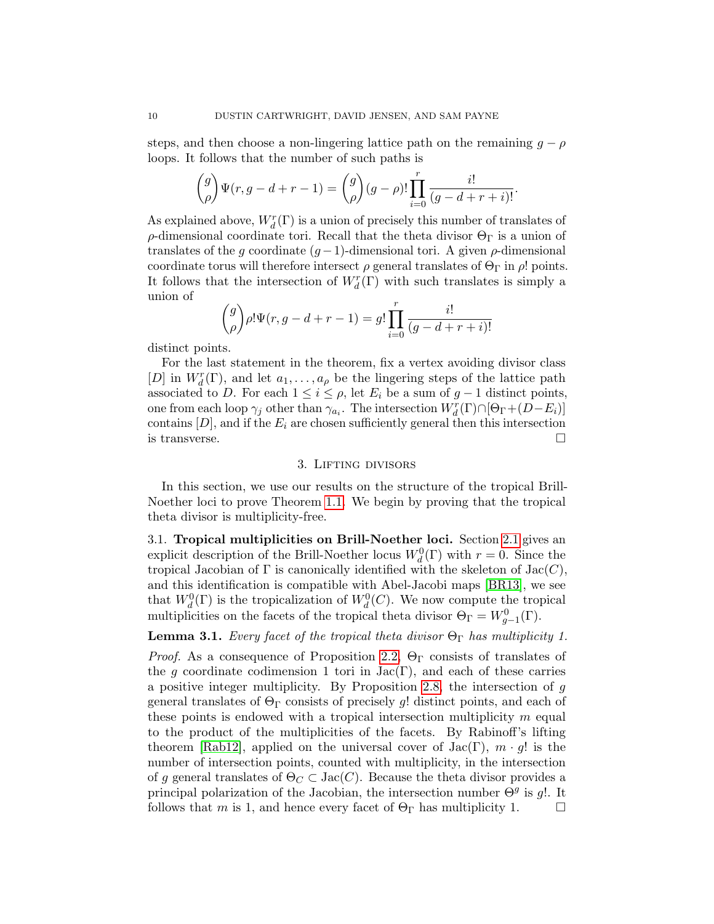steps, and then choose a non-lingering lattice path on the remaining  $g - \rho$ loops. It follows that the number of such paths is

$$
\binom{g}{\rho}\Psi(r,g-d+r-1)=\binom{g}{\rho}(g-\rho)!\prod_{i=0}^r\frac{i!}{(g-d+r+i)!}.
$$

As explained above,  $W_d^r(\Gamma)$  is a union of precisely this number of translates of ρ-dimensional coordinate tori. Recall that the theta divisor  $\Theta_{\Gamma}$  is a union of translates of the g coordinate  $(q-1)$ -dimensional tori. A given  $\rho$ -dimensional coordinate torus will therefore intersect  $\rho$  general translates of  $\Theta_{\Gamma}$  in  $\rho$ ! points. It follows that the intersection of  $W^r_d(\Gamma)$  with such translates is simply a union of

$$
\binom{g}{\rho}\rho!\Psi(r,g-d+r-1)=g!\prod_{i=0}^r\frac{i!}{(g-d+r+i)!}
$$

distinct points.

For the last statement in the theorem, fix a vertex avoiding divisor class [D] in  $W_d^r(\Gamma)$ , and let  $a_1, \ldots, a_\rho$  be the lingering steps of the lattice path associated to D. For each  $1 \leq i \leq \rho$ , let  $E_i$  be a sum of  $g-1$  distinct points, one from each loop  $\gamma_j$  other than  $\gamma_{a_i}$ . The intersection  $W_d^r(\Gamma) \cap [\Theta_{\Gamma} + (D - E_i)]$ contains  $[D]$ , and if the  $E_i$  are chosen sufficiently general then this intersection is transverse.  $\Box$ 

### 3. Lifting divisors

In this section, we use our results on the structure of the tropical Brill-Noether loci to prove Theorem [1.1.](#page-0-0) We begin by proving that the tropical theta divisor is multiplicity-free.

3.1. Tropical multiplicities on Brill-Noether loci. Section [2.1](#page-4-2) gives an explicit description of the Brill-Noether locus  $W_d^0(\Gamma)$  with  $r = 0$ . Since the tropical Jacobian of  $\Gamma$  is canonically identified with the skeleton of  $Jac(C)$ , and this identification is compatible with Abel-Jacobi maps [\[BR13\]](#page-12-0), we see that  $W_d^0(\Gamma)$  is the tropicalization of  $W_d^0(C)$ . We now compute the tropical multiplicities on the facets of the tropical theta divisor  $\Theta_{\Gamma} = W_{g-1}^{0}(\Gamma)$ .

# <span id="page-9-0"></span>**Lemma 3.1.** Every facet of the tropical theta divisor  $\Theta_{\Gamma}$  has multiplicity 1.

*Proof.* As a consequence of Proposition [2.2,](#page-5-0)  $\Theta_{\Gamma}$  consists of translates of the g coordinate codimension 1 tori in  $Jac(\Gamma)$ , and each of these carries a positive integer multiplicity. By Proposition [2.8,](#page-8-0) the intersection of g general translates of  $\Theta_{\Gamma}$  consists of precisely g! distinct points, and each of these points is endowed with a tropical intersection multiplicity  $m$  equal to the product of the multiplicities of the facets. By Rabinoff's lifting theorem [\[Rab12\]](#page-13-7), applied on the universal cover of  $Jac(\Gamma), m \cdot g!$  is the number of intersection points, counted with multiplicity, in the intersection of g general translates of  $\Theta_C \subset \text{Jac}(C)$ . Because the theta divisor provides a principal polarization of the Jacobian, the intersection number  $\Theta^g$  is g!. It follows that m is 1, and hence every facet of  $\Theta_{\Gamma}$  has multiplicity 1.  $\Box$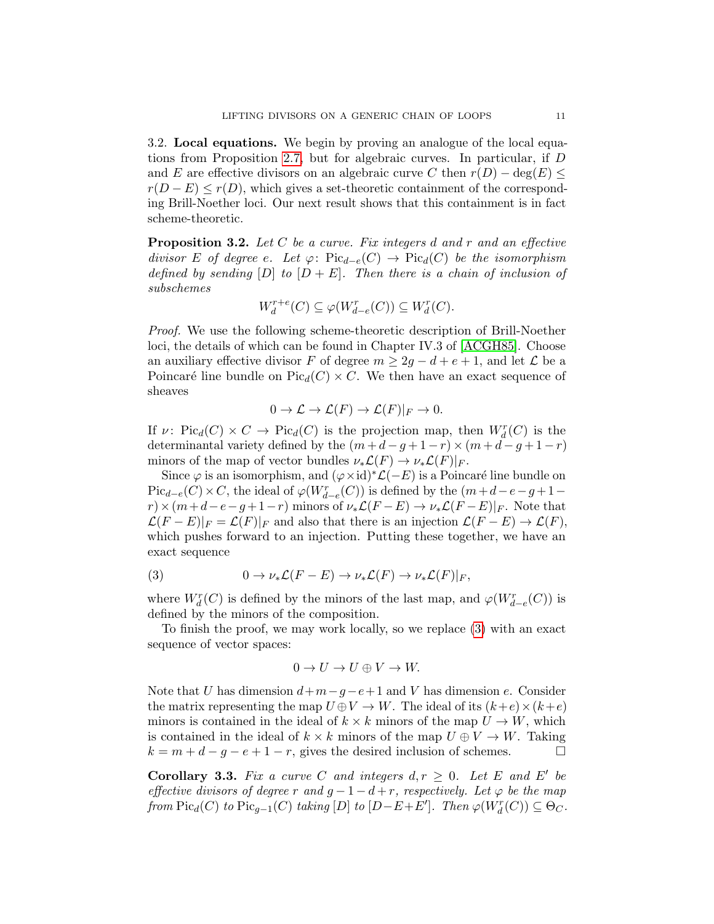3.2. Local equations. We begin by proving an analogue of the local equations from Proposition [2.7,](#page-7-0) but for algebraic curves. In particular, if D and E are effective divisors on an algebraic curve C then  $r(D) - \deg(E) \leq$  $r(D - E) \leq r(D)$ , which gives a set-theoretic containment of the corresponding Brill-Noether loci. Our next result shows that this containment is in fact scheme-theoretic.

<span id="page-10-0"></span>**Proposition 3.2.** Let C be a curve. Fix integers d and r and an effective divisor E of degree e. Let  $\varphi: Pic_{d-e}(C) \to Pic_{d}(C)$  be the isomorphism defined by sending  $[D]$  to  $[D + E]$ . Then there is a chain of inclusion of subschemes

$$
W_d^{r+e}(C) \subseteq \varphi(W_{d-e}^r(C)) \subseteq W_d^r(C).
$$

Proof. We use the following scheme-theoretic description of Brill-Noether loci, the details of which can be found in Chapter IV.3 of [\[ACGH85\]](#page-12-4). Choose an auxiliary effective divisor F of degree  $m \geq 2q - d + e + 1$ , and let  $\mathcal L$  be a Poincaré line bundle on  $Pic_d(C) \times C$ . We then have an exact sequence of sheaves

$$
0 \to \mathcal{L} \to \mathcal{L}(F) \to \mathcal{L}(F)|_F \to 0.
$$

If  $\nu$ : Pic<sub>d</sub>(C) × C  $\rightarrow$  Pic<sub>d</sub>(C) is the projection map, then  $W_d^r(C)$  is the determinantal variety defined by the  $(m+d-g+1-r) \times (m+d-g+1-r)$ minors of the map of vector bundles  $\nu_*\mathcal{L}(F) \to \nu_*\mathcal{L}(F)|_F$ .

Since  $\varphi$  is an isomorphism, and  $(\varphi \times id)^* \mathcal{L}(-E)$  is a Poincaré line bundle on  $\operatorname{Pic}_{d-e}(C)\times C$ , the ideal of  $\varphi(W^r_{d-e}(C))$  is defined by the  $(m+d-e-g+1-d)$  $r \times (m+d-e-g+1-r)$  minors of  $\nu_*\mathcal{L}(F-E) \to \nu_*\mathcal{L}(F-E)|_F$ . Note that  $\mathcal{L}(F - E)|_F = \mathcal{L}(F)|_F$  and also that there is an injection  $\mathcal{L}(F - E) \to \mathcal{L}(F)$ , which pushes forward to an injection. Putting these together, we have an exact sequence

<span id="page-10-1"></span>(3) 
$$
0 \to \nu_* \mathcal{L}(F - E) \to \nu_* \mathcal{L}(F) \to \nu_* \mathcal{L}(F)|_F,
$$

where  $W_d^r(C)$  is defined by the minors of the last map, and  $\varphi(W_{d-e}^r(C))$  is defined by the minors of the composition.

To finish the proof, we may work locally, so we replace [\(3\)](#page-10-1) with an exact sequence of vector spaces:

$$
0 \to U \to U \oplus V \to W.
$$

Note that U has dimension  $d+m-g-e+1$  and V has dimension e. Consider the matrix representing the map  $U \oplus V \to W$ . The ideal of its  $(k+e) \times (k+e)$ minors is contained in the ideal of  $k \times k$  minors of the map  $U \to W$ , which is contained in the ideal of  $k \times k$  minors of the map  $U \oplus V \to W$ . Taking  $k = m + d - g - e + 1 - r$ , gives the desired inclusion of schemes.  $\Box$ 

<span id="page-10-2"></span>**Corollary 3.3.** Fix a curve C and integers  $d, r \geq 0$ . Let E and E' be effective divisors of degree r and  $g - 1 - d + r$ , respectively. Let  $\varphi$  be the map from  $Pic_d(C)$  to  $Pic_{g-1}(C)$  taking  $[D]$  to  $[D-E+E']$ . Then  $\varphi(W_d^r(C)) \subseteq \Theta_C$ .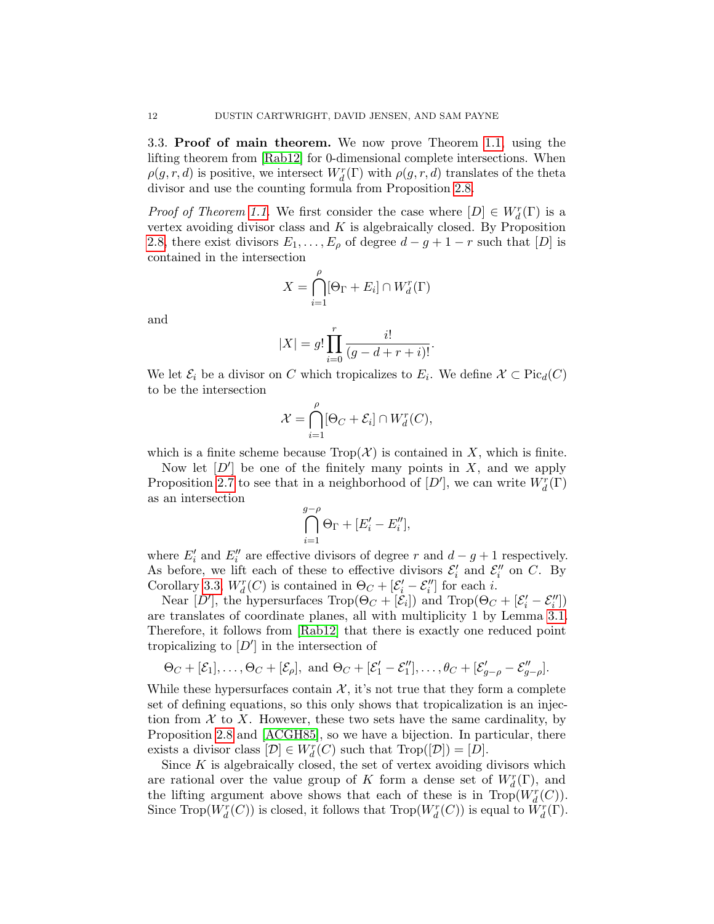3.3. Proof of main theorem. We now prove Theorem [1.1,](#page-0-0) using the lifting theorem from [\[Rab12\]](#page-13-7) for 0-dimensional complete intersections. When  $\rho(g,r,d)$  is positive, we intersect  $W_d^r(\Gamma)$  with  $\rho(g,r,d)$  translates of the theta divisor and use the counting formula from Proposition [2.8.](#page-8-0)

*Proof of Theorem [1.1.](#page-0-0)* We first consider the case where  $[D] \in W_d^r(\Gamma)$  is a vertex avoiding divisor class and  $K$  is algebraically closed. By Proposition [2.8,](#page-8-0) there exist divisors  $E_1, \ldots, E_\rho$  of degree  $d - g + 1 - r$  such that [D] is contained in the intersection

$$
X = \bigcap_{i=1}^{\rho} [\Theta_{\Gamma} + E_i] \cap W_d^r(\Gamma)
$$

and

$$
|X| = g! \prod_{i=0}^{r} \frac{i!}{(g - d + r + i)!}.
$$

We let  $\mathcal{E}_i$  be a divisor on C which tropicalizes to  $E_i$ . We define  $\mathcal{X} \subset \text{Pic}_d(C)$ to be the intersection

$$
\mathcal{X} = \bigcap_{i=1}^{\rho} [\Theta_C + \mathcal{E}_i] \cap W_d^r(C),
$$

which is a finite scheme because  $\text{Top}(\mathcal{X})$  is contained in X, which is finite.

Now let  $[D']$  be one of the finitely many points in X, and we apply Proposition [2.7](#page-7-0) to see that in a neighborhood of  $[D']$ , we can write  $W_d^r(\Gamma)$ as an intersection

$$
\bigcap_{i=1}^{g-\rho} \Theta_{\Gamma} + [E'_i - E''_i],
$$

where  $E'_i$  and  $E''_i$  are effective divisors of degree r and  $d - g + 1$  respectively. As before, we lift each of these to effective divisors  $\mathcal{E}'_i$  and  $\mathcal{E}''_i$  on C. By Corollary [3.3,](#page-10-2)  $W_d^r(C)$  is contained in  $\Theta_C + [\mathcal{E}'_i - \mathcal{E}''_i]$  for each *i*.

Near [D'], the hypersurfaces  $\text{Trop}(\Theta_C + [\mathcal{E}_i])$  and  $\text{Trop}(\Theta_C + [\mathcal{E}'_i - \mathcal{E}''_i])$ are translates of coordinate planes, all with multiplicity 1 by Lemma [3.1.](#page-9-0) Therefore, it follows from [\[Rab12\]](#page-13-7) that there is exactly one reduced point tropicalizing to  $[D']$  in the intersection of

$$
\Theta_C + [\mathcal{E}_1], \dots, \Theta_C + [\mathcal{E}_\rho],
$$
 and  $\Theta_C + [\mathcal{E}'_1 - \mathcal{E}''_1], \dots, \theta_C + [\mathcal{E}'_{g-\rho} - \mathcal{E}''_{g-\rho}].$ 

While these hypersurfaces contain  $\mathcal{X}$ , it's not true that they form a complete set of defining equations, so this only shows that tropicalization is an injection from  $\mathcal X$  to X. However, these two sets have the same cardinality, by Proposition [2.8](#page-8-0) and [\[ACGH85\]](#page-12-4), so we have a bijection. In particular, there exists a divisor class  $[\mathcal{D}] \in W_d^r(C)$  such that  $\text{Trop}([\mathcal{D}]) = [D].$ 

Since  $K$  is algebraically closed, the set of vertex avoiding divisors which are rational over the value group of K form a dense set of  $W_d^r(\Gamma)$ , and the lifting argument above shows that each of these is in  $\text{Trop}(W_d^r(C))$ . Since  $\text{Top}(W_d^r(C))$  is closed, it follows that  $\text{Top}(W_d^r(C))$  is equal to  $\tilde{W}_d^r(\Gamma)$ .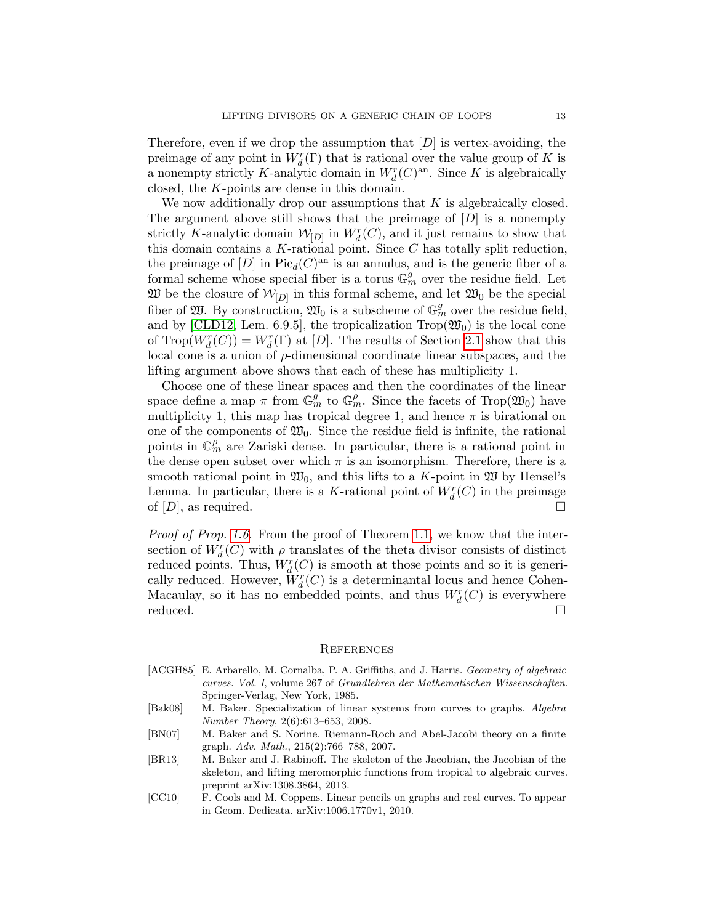Therefore, even if we drop the assumption that  $[D]$  is vertex-avoiding, the preimage of any point in  $W_d^r(\Gamma)$  that is rational over the value group of K is a nonempty strictly K-analytic domain in  $W_d^r(C)^{an}$ . Since K is algebraically closed, the K-points are dense in this domain.

We now additionally drop our assumptions that  $K$  is algebraically closed. The argument above still shows that the preimage of  $[D]$  is a nonempty strictly K-analytic domain  $\mathcal{W}_{[D]}$  in  $W_d^r(C)$ , and it just remains to show that this domain contains a K-rational point. Since C has totally split reduction, the preimage of  $[D]$  in  $Pic_d(C)^{an}$  is an annulus, and is the generic fiber of a formal scheme whose special fiber is a torus  $\mathbb{G}_m^g$  over the residue field. Let  $\mathfrak{W}$  be the closure of  $\mathcal{W}_{[D]}$  in this formal scheme, and let  $\mathfrak{W}_0$  be the special fiber of  $\mathfrak{W}$ . By construction,  $\mathfrak{W}_0$  is a subscheme of  $\mathbb{G}_m^g$  over the residue field, and by [\[CLD12,](#page-13-11) Lem. 6.9.5], the tropicalization  $\text{Top}(\mathfrak{W}_0)$  is the local cone of  $\text{Trop}(W_d^r(C)) = W_d^r(\Gamma)$  at  $[D]$ . The results of Section [2.1](#page-4-2) show that this local cone is a union of  $\rho$ -dimensional coordinate linear subspaces, and the lifting argument above shows that each of these has multiplicity 1.

Choose one of these linear spaces and then the coordinates of the linear space define a map  $\pi$  from  $\mathbb{G}_m^g$  to  $\mathbb{G}_m^{\rho}$ . Since the facets of Trop( $\mathfrak{W}_0$ ) have multiplicity 1, this map has tropical degree 1, and hence  $\pi$  is birational on one of the components of  $\mathfrak{W}_0$ . Since the residue field is infinite, the rational points in  $\mathbb{G}_m^{\rho}$  are Zariski dense. In particular, there is a rational point in the dense open subset over which  $\pi$  is an isomorphism. Therefore, there is a smooth rational point in  $\mathfrak{W}_0$ , and this lifts to a K-point in  $\mathfrak W$  by Hensel's Lemma. In particular, there is a K-rational point of  $W_d^r(C)$  in the preimage of  $[D]$ , as required.

Proof of Prop. [1.6.](#page-3-0) From the proof of Theorem [1.1,](#page-0-0) we know that the intersection of  $W_d^r(C)$  with  $\rho$  translates of the theta divisor consists of distinct reduced points. Thus,  $W_d^r(C)$  is smooth at those points and so it is generically reduced. However,  $\widetilde{W}_d^r(C)$  is a determinantal locus and hence Cohen-Macaulay, so it has no embedded points, and thus  $W_d^r(C)$  is everywhere  $reduced.$ 

#### **REFERENCES**

- <span id="page-12-4"></span>[ACGH85] E. Arbarello, M. Cornalba, P. A. Griffiths, and J. Harris. Geometry of algebraic curves. Vol. I, volume 267 of Grundlehren der Mathematischen Wissenschaften. Springer-Verlag, New York, 1985.
- <span id="page-12-1"></span>[Bak08] M. Baker. Specialization of linear systems from curves to graphs. Algebra Number Theory, 2(6):613–653, 2008.
- <span id="page-12-3"></span>[BN07] M. Baker and S. Norine. Riemann-Roch and Abel-Jacobi theory on a finite graph. Adv. Math., 215(2):766–788, 2007.
- <span id="page-12-0"></span>[BR13] M. Baker and J. Rabinoff. The skeleton of the Jacobian, the Jacobian of the skeleton, and lifting meromorphic functions from tropical to algebraic curves. preprint arXiv:1308.3864, 2013.
- <span id="page-12-2"></span>[CC10] F. Cools and M. Coppens. Linear pencils on graphs and real curves. To appear in Geom. Dedicata. arXiv:1006.1770v1, 2010.